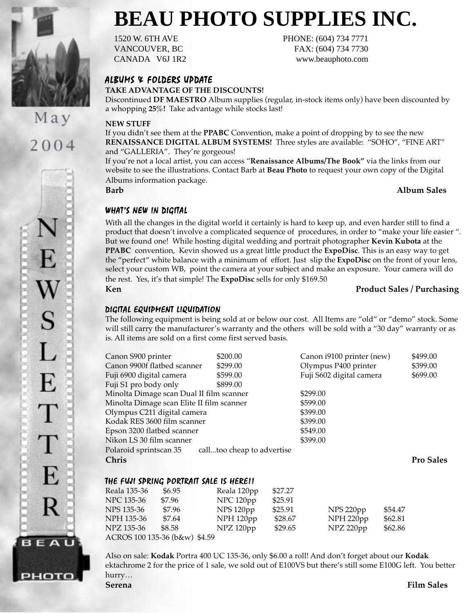

2004

S

L

E

Τ

T

E

R

**BEAU** 

рното

# **BEAU PHOTO SUPPLIES INC.**

1520 W. 6TH AVE PHONE: (604) 734 7771 VANCOUVER, BC FAX: (604) 734 7730 CANADA V6J 1R2 www.beauphoto.com

ALBUMS & FOLDERS UPDATE

**TAKE ADVANTAGE OF THE DISCOUNTS!**

Discontinued **DF MAESTRO** Album supplies (regular, in-stock items only) have been discounted by a whopping **25%!** Take advantage while stocks last!

#### **NEW STUFF**

If you didn't see them at the **PPABC** Convention, make a point of dropping by to see the new **RENAISSANCE DIGITAL ALBUM SYSTEMS!** Three styles are available: "SOHO", "FINE ART" and "GALLERIA". They're gorgeous!

If you're not a local artist, you can access "**Renaissance Albums/The Book"** via the links from our website to see the illustrations. Contact Barb at **Beau Photo** to request your own copy of the Digital Albums information package.

**Barb Album Sales**

#### WHAT'S NEW IN DIGITAL

With all the changes in the digital world it certainly is hard to keep up, and even harder still to find a product that doesn't involve a complicated sequence of procedures, in order to "make your life easier ". But we found one! While hosting digital wedding and portrait photographer **Kevin Kubota** at the **PPABC** convention, Kevin showed us a great little product the **ExpoDisc**. This is an easy way to get the "perfect" white balance with a minimum of effort. Just slip the **ExpoDisc** on the front of your lens, select your custom WB, point the camera at your subject and make an exposure. Your camera will do the rest. Yes, it's that simple! The **ExpoDisc** sells for only \$169.50

#### **Ken Product Sales / Purchasing**

### DIGITAL EQUIPMENT LIQUIDATION

The following equipment is being sold at or below our cost. All Items are "old" or "demo" stock. Some will still carry the manufacturer's warranty and the others will be sold with a "30 day" warranty or as is. All items are sold on a first come first served basis.

| Canon S900 printer                                   | \$200.00             |         |  | Canon i9100 printer (new) |         | \$499.00         |
|------------------------------------------------------|----------------------|---------|--|---------------------------|---------|------------------|
| Canon 9900f flatbed scanner                          | \$299.00             |         |  | Olympus P400 printer      |         | \$399.00         |
| Fuji 6900 digital camera                             | \$599.00             |         |  | Fuji S602 digital camera  |         | \$699.00         |
| Fuji S1 pro body only                                | \$899.00             |         |  |                           |         |                  |
| Minolta Dimage scan Dual II film scanner             | \$299.00             |         |  |                           |         |                  |
| Minolta Dimage scan Elite II film scanner            | \$599.00             |         |  |                           |         |                  |
| Olympus C211 digital camera                          | \$399.00             |         |  |                           |         |                  |
| Kodak RES 3600 film scanner<br>\$399.00              |                      |         |  |                           |         |                  |
| \$549.00<br>Epson 3200 flatbed scanner               |                      |         |  |                           |         |                  |
| \$399.00<br>Nikon LS 30 film scanner                 |                      |         |  |                           |         |                  |
| Polaroid sprintscan 35<br>calltoo cheap to advertise |                      |         |  |                           |         |                  |
| Chris                                                |                      |         |  |                           |         | <b>Pro Sales</b> |
|                                                      |                      |         |  |                           |         |                  |
| THE FUJI SPRING PORTRAIT SALE IS HERE!!              |                      |         |  |                           |         |                  |
| Reala 135-36<br>\$6.95                               | Reala 120pp          | \$27.27 |  |                           |         |                  |
|                                                      |                      |         |  |                           |         |                  |
| NPC 135-36<br>\$7.96                                 | NPC 120pp            | \$25.91 |  |                           |         |                  |
| NPS 135-36<br>\$7.96                                 | NPS 120pp            | \$25.91 |  | NPS 220pp                 | \$54.47 |                  |
| NPH 135-36<br>\$7.64                                 | NPH <sub>120pp</sub> | \$28.67 |  | NPH 220pp                 | \$62.81 |                  |
| NPZ 135-36<br>\$8.58                                 | NPZ 120pp            | \$29.65 |  | NPZ 220pp                 | \$62.86 |                  |

ACROS 100 135-36 (b&w) \$4.59

Also on sale: **Kodak** Portra 400 UC 135-36, only \$6.00 a roll! And don't forget about our **Kodak** ektachrome 2 for the price of 1 sale, we sold out of E100VS but there's still some E100G left. You better hurry…